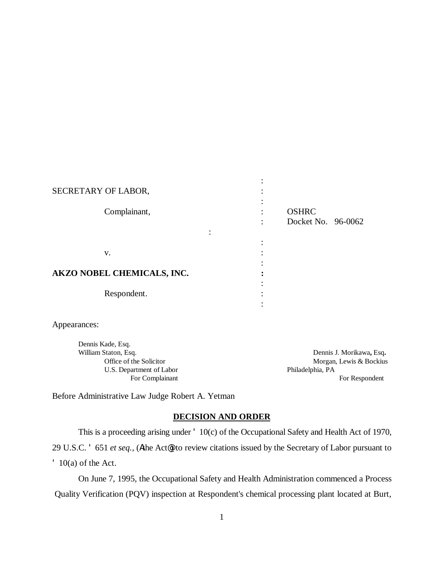# : SECRETARY OF LABOR,  $\cdot$ : Complainant, : OSHRC : Docket No. 96-0062 : the contract of the contract of the contract of the contract of  $\mathbf v$ .  $\mathbf v$ : **AKZO NOBEL CHEMICALS, INC. :** : Respondent. : :

Appearances:

Dennis Kade, Esq. U.S. Department of Labor Philadelphia, PA

William Staton, Esq. **Dennis J. Morikawa**, Esq. Office of the Solicitor **Morgan, Lewis & Bockius** Morgan, Lewis & Bockius For Complainant For Respondent

Before Administrative Law Judge Robert A. Yetman

## **DECISION AND ORDER**

This is a proceeding arising under ' 10(c) of the Occupational Safety and Health Act of 1970,

29 U.S.C. ' 651 *et seq.,* (Athe Act@) to review citations issued by the Secretary of Labor pursuant to ' 10(a) of the Act.

On June 7, 1995, the Occupational Safety and Health Administration commenced a Process Quality Verification (PQV) inspection at Respondent's chemical processing plant located at Burt,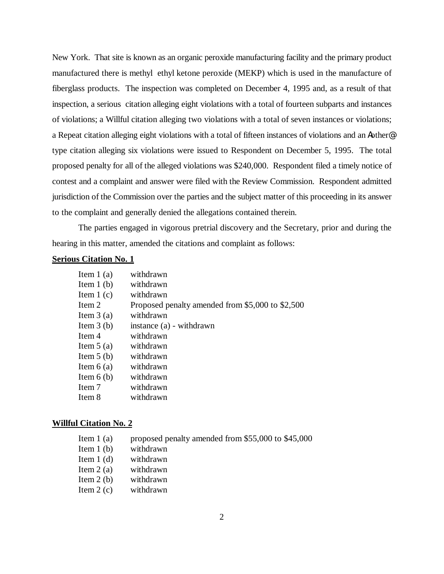New York. That site is known as an organic peroxide manufacturing facility and the primary product manufactured there is methyl ethyl ketone peroxide (MEKP) which is used in the manufacture of fiberglass products. The inspection was completed on December 4, 1995 and, as a result of that inspection, a serious citation alleging eight violations with a total of fourteen subparts and instances of violations; a Willful citation alleging two violations with a total of seven instances or violations; a Repeat citation alleging eight violations with a total of fifteen instances of violations and an Aother@ type citation alleging six violations were issued to Respondent on December 5, 1995. The total proposed penalty for all of the alleged violations was \$240,000. Respondent filed a timely notice of contest and a complaint and answer were filed with the Review Commission. Respondent admitted jurisdiction of the Commission over the parties and the subject matter of this proceeding in its answer to the complaint and generally denied the allegations contained therein.

The parties engaged in vigorous pretrial discovery and the Secretary, prior and during the hearing in this matter, amended the citations and complaint as follows:

## **Serious Citation No. 1**

| Item $1(a)$ | withdrawn                                        |
|-------------|--------------------------------------------------|
| Item $1(b)$ | withdrawn                                        |
| Item $1(c)$ | withdrawn                                        |
| Item 2      | Proposed penalty amended from \$5,000 to \$2,500 |
| Item $3(a)$ | withdrawn                                        |
| Item $3(b)$ | instance (a) - withdrawn                         |
| Item 4      | withdrawn                                        |
| Item $5(a)$ | withdrawn                                        |
| Item $5(b)$ | withdrawn                                        |
| Item $6(a)$ | withdrawn                                        |
| Item $6(b)$ | withdrawn                                        |
| Item 7      | withdrawn                                        |
| Item 8      | withdrawn                                        |
|             |                                                  |

#### **Willful Citation No. 2**

| Item $1(a)$ | proposed penalty amended from \$55,000 to \$45,000 |
|-------------|----------------------------------------------------|
| Item $1(b)$ | withdrawn                                          |
| Item $1(d)$ | withdrawn                                          |
| Item $2(a)$ | withdrawn                                          |
| Item $2(b)$ | withdrawn                                          |
| Item $2(c)$ | withdrawn                                          |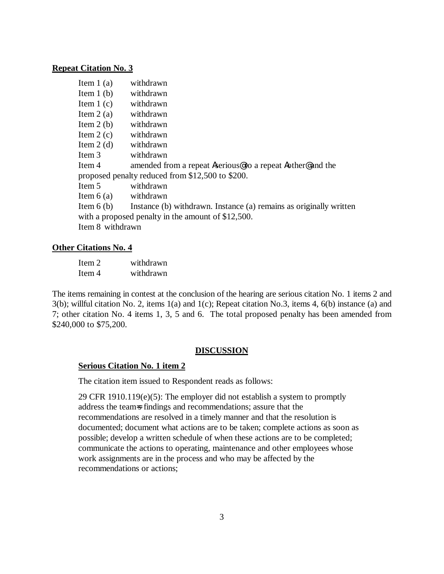#### **Repeat Citation No. 3**

| withdrawn                                                          |  |  |
|--------------------------------------------------------------------|--|--|
| withdrawn                                                          |  |  |
| withdrawn                                                          |  |  |
| withdrawn                                                          |  |  |
| withdrawn                                                          |  |  |
| withdrawn                                                          |  |  |
| withdrawn                                                          |  |  |
| withdrawn                                                          |  |  |
| amended from a repeat Aserious@to a repeat Aother@and the          |  |  |
| proposed penalty reduced from \$12,500 to \$200.                   |  |  |
| withdrawn                                                          |  |  |
| withdrawn                                                          |  |  |
| Instance (b) withdrawn. Instance (a) remains as originally written |  |  |
| with a proposed penalty in the amount of \$12,500.                 |  |  |
| Item 8 withdrawn                                                   |  |  |
|                                                                    |  |  |

### **Other Citations No. 4**

Item 2 withdrawn Item 4 withdrawn

The items remaining in contest at the conclusion of the hearing are serious citation No. 1 items 2 and 3(b); willful citation No. 2, items 1(a) and 1(c); Repeat citation No.3, items 4, 6(b) instance (a) and 7; other citation No. 4 items 1, 3, 5 and 6. The total proposed penalty has been amended from \$240,000 to \$75,200.

## **DISCUSSION**

## **Serious Citation No. 1 item 2**

The citation item issued to Respondent reads as follows:

29 CFR 1910.119(e)(5): The employer did not establish a system to promptly address the team=s findings and recommendations; assure that the recommendations are resolved in a timely manner and that the resolution is documented; document what actions are to be taken; complete actions as soon as possible; develop a written schedule of when these actions are to be completed; communicate the actions to operating, maintenance and other employees whose work assignments are in the process and who may be affected by the recommendations or actions;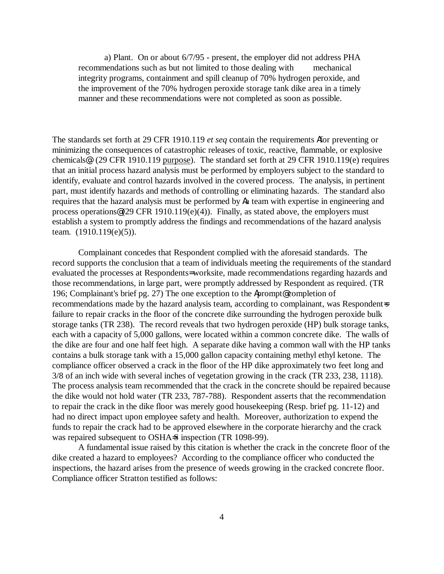a) Plant. On or about 6/7/95 - present, the employer did not address PHA recommendations such as but not limited to those dealing with mechanical integrity programs, containment and spill cleanup of 70% hydrogen peroxide, and the improvement of the 70% hydrogen peroxide storage tank dike area in a timely manner and these recommendations were not completed as soon as possible.

The standards set forth at 29 CFR 1910.119 *et seq* contain the requirements Afor preventing or minimizing the consequences of catastrophic releases of toxic, reactive, flammable, or explosive chemicals@. (29 CFR 1910.119 purpose). The standard set forth at 29 CFR 1910.119(e) requires that an initial process hazard analysis must be performed by employers subject to the standard to identify, evaluate and control hazards involved in the covered process. The analysis, in pertinent part, must identify hazards and methods of controlling or eliminating hazards. The standard also requires that the hazard analysis must be performed by Aa team with expertise in engineering and process operations  $(29 \text{ CFR } 1910.119(e)(4))$ . Finally, as stated above, the employers must establish a system to promptly address the findings and recommendations of the hazard analysis team. (1910.119(e)(5)).

Complainant concedes that Respondent complied with the aforesaid standards. The record supports the conclusion that a team of individuals meeting the requirements of the standard evaluated the processes at Respondents= worksite, made recommendations regarding hazards and those recommendations, in large part, were promptly addressed by Respondent as required. (TR 196; Complainant's brief pg. 27) The one exception to the Aprompt@ completion of recommendations made by the hazard analysis team, according to complainant, was Respondent=s failure to repair cracks in the floor of the concrete dike surrounding the hydrogen peroxide bulk storage tanks (TR 238). The record reveals that two hydrogen peroxide (HP) bulk storage tanks, each with a capacity of 5,000 gallons, were located within a common concrete dike. The walls of the dike are four and one half feet high. A separate dike having a common wall with the HP tanks contains a bulk storage tank with a 15,000 gallon capacity containing methyl ethyl ketone. The compliance officer observed a crack in the floor of the HP dike approximately two feet long and 3/8 of an inch wide with several inches of vegetation growing in the crack (TR 233, 238, 1118). The process analysis team recommended that the crack in the concrete should be repaired because the dike would not hold water (TR 233, 787-788). Respondent asserts that the recommendation to repair the crack in the dike floor was merely good housekeeping (Resp. brief pg. 11-12) and had no direct impact upon employee safety and health. Moreover, authorization to expend the funds to repair the crack had to be approved elsewhere in the corporate hierarchy and the crack was repaired subsequent to OSHA=S inspection (TR 1098-99).

A fundamental issue raised by this citation is whether the crack in the concrete floor of the dike created a hazard to employees? According to the compliance officer who conducted the inspections, the hazard arises from the presence of weeds growing in the cracked concrete floor. Compliance officer Stratton testified as follows: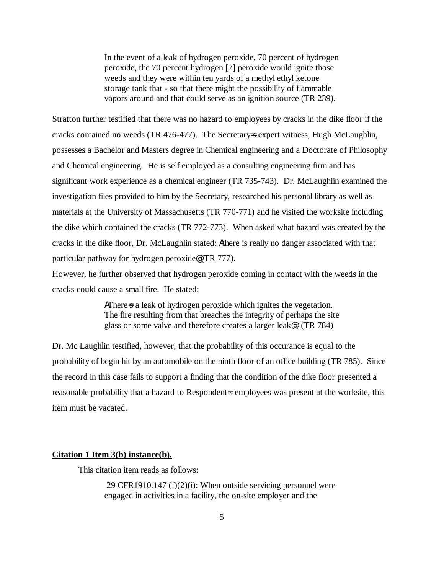In the event of a leak of hydrogen peroxide, 70 percent of hydrogen peroxide, the 70 percent hydrogen [7] peroxide would ignite those weeds and they were within ten yards of a methyl ethyl ketone storage tank that - so that there might the possibility of flammable vapors around and that could serve as an ignition source (TR 239).

Stratton further testified that there was no hazard to employees by cracks in the dike floor if the cracks contained no weeds (TR 476-477). The Secretary=s expert witness, Hugh McLaughlin, possesses a Bachelor and Masters degree in Chemical engineering and a Doctorate of Philosophy and Chemical engineering. He is self employed as a consulting engineering firm and has significant work experience as a chemical engineer (TR 735-743). Dr. McLaughlin examined the investigation files provided to him by the Secretary, researched his personal library as well as materials at the University of Massachusetts (TR 770-771) and he visited the worksite including the dike which contained the cracks (TR 772-773). When asked what hazard was created by the cracks in the dike floor, Dr. McLaughlin stated: Athere is really no danger associated with that particular pathway for hydrogen peroxide@ (TR 777).

However, he further observed that hydrogen peroxide coming in contact with the weeds in the cracks could cause a small fire. He stated:

> AThere a leak of hydrogen peroxide which ignites the vegetation. The fire resulting from that breaches the integrity of perhaps the site glass or some valve and therefore creates a larger leak@. (TR 784)

Dr. Mc Laughlin testified, however, that the probability of this occurance is equal to the probability of begin hit by an automobile on the ninth floor of an office building (TR 785). Since the record in this case fails to support a finding that the condition of the dike floor presented a reasonable probability that a hazard to Respondent=s employees was present at the worksite, this item must be vacated.

#### **Citation 1 Item 3(b) instance(b).**

This citation item reads as follows:

 29 CFR1910.147 (f)(2)(i): When outside servicing personnel were engaged in activities in a facility, the on-site employer and the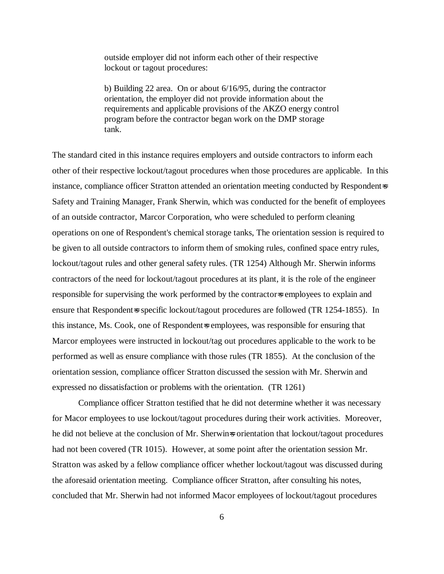outside employer did not inform each other of their respective lockout or tagout procedures:

b) Building 22 area. On or about 6/16/95, during the contractor orientation, the employer did not provide information about the requirements and applicable provisions of the AKZO energy control program before the contractor began work on the DMP storage tank.

The standard cited in this instance requires employers and outside contractors to inform each other of their respective lockout/tagout procedures when those procedures are applicable. In this instance, compliance officer Stratton attended an orientation meeting conducted by Respondent=s Safety and Training Manager, Frank Sherwin, which was conducted for the benefit of employees of an outside contractor, Marcor Corporation, who were scheduled to perform cleaning operations on one of Respondent's chemical storage tanks, The orientation session is required to be given to all outside contractors to inform them of smoking rules, confined space entry rules, lockout/tagout rules and other general safety rules. (TR 1254) Although Mr. Sherwin informs contractors of the need for lockout/tagout procedures at its plant, it is the role of the engineer responsible for supervising the work performed by the contractor=s employees to explain and ensure that Respondent=s specific lockout/tagout procedures are followed (TR 1254-1855). In this instance, Ms. Cook, one of Respondent=s employees, was responsible for ensuring that Marcor employees were instructed in lockout/tag out procedures applicable to the work to be performed as well as ensure compliance with those rules (TR 1855). At the conclusion of the orientation session, compliance officer Stratton discussed the session with Mr. Sherwin and expressed no dissatisfaction or problems with the orientation. (TR 1261)

Compliance officer Stratton testified that he did not determine whether it was necessary for Macor employees to use lockout/tagout procedures during their work activities. Moreover, he did not believe at the conclusion of Mr. Sherwin=s orientation that lockout/tagout procedures had not been covered (TR 1015). However, at some point after the orientation session Mr. Stratton was asked by a fellow compliance officer whether lockout/tagout was discussed during the aforesaid orientation meeting. Compliance officer Stratton, after consulting his notes, concluded that Mr. Sherwin had not informed Macor employees of lockout/tagout procedures

6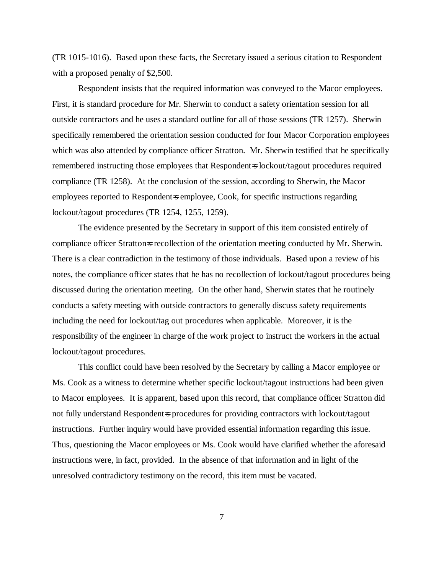(TR 1015-1016). Based upon these facts, the Secretary issued a serious citation to Respondent with a proposed penalty of \$2,500.

Respondent insists that the required information was conveyed to the Macor employees. First, it is standard procedure for Mr. Sherwin to conduct a safety orientation session for all outside contractors and he uses a standard outline for all of those sessions (TR 1257). Sherwin specifically remembered the orientation session conducted for four Macor Corporation employees which was also attended by compliance officer Stratton. Mr. Sherwin testified that he specifically remembered instructing those employees that Respondent=s lockout/tagout procedures required compliance (TR 1258). At the conclusion of the session, according to Sherwin, the Macor employees reported to Respondent=s employee, Cook, for specific instructions regarding lockout/tagout procedures (TR 1254, 1255, 1259).

The evidence presented by the Secretary in support of this item consisted entirely of compliance officer Stratton=s recollection of the orientation meeting conducted by Mr. Sherwin. There is a clear contradiction in the testimony of those individuals. Based upon a review of his notes, the compliance officer states that he has no recollection of lockout/tagout procedures being discussed during the orientation meeting. On the other hand, Sherwin states that he routinely conducts a safety meeting with outside contractors to generally discuss safety requirements including the need for lockout/tag out procedures when applicable. Moreover, it is the responsibility of the engineer in charge of the work project to instruct the workers in the actual lockout/tagout procedures.

This conflict could have been resolved by the Secretary by calling a Macor employee or Ms. Cook as a witness to determine whether specific lockout/tagout instructions had been given to Macor employees. It is apparent, based upon this record, that compliance officer Stratton did not fully understand Respondent=s procedures for providing contractors with lockout/tagout instructions. Further inquiry would have provided essential information regarding this issue. Thus, questioning the Macor employees or Ms. Cook would have clarified whether the aforesaid instructions were, in fact, provided. In the absence of that information and in light of the unresolved contradictory testimony on the record, this item must be vacated.

7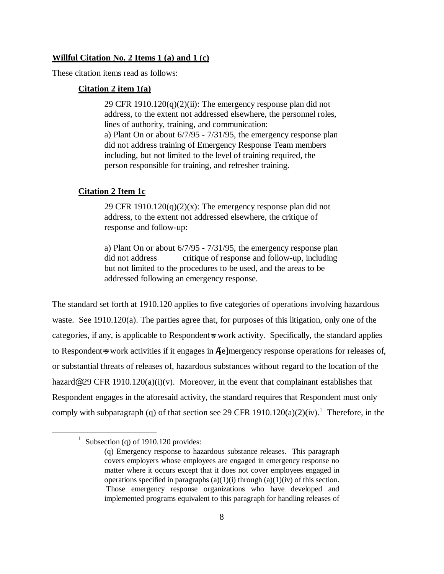### **Willful Citation No. 2 Items 1 (a) and 1 (c)**

These citation items read as follows:

### **Citation 2 item 1(a)**

29 CFR 1910.120 $(q)(2)(ii)$ : The emergency response plan did not address, to the extent not addressed elsewhere, the personnel roles, lines of authority, training, and communication: a) Plant On or about 6/7/95 - 7/31/95, the emergency response plan did not address training of Emergency Response Team members including, but not limited to the level of training required, the person responsible for training, and refresher training.

### **Citation 2 Item 1c**

29 CFR 1910.120 $(q)(2)(x)$ : The emergency response plan did not address, to the extent not addressed elsewhere, the critique of response and follow-up:

a) Plant On or about 6/7/95 - 7/31/95, the emergency response plan did not address critique of response and follow-up, including but not limited to the procedures to be used, and the areas to be addressed following an emergency response.

The standard set forth at 1910.120 applies to five categories of operations involving hazardous waste. See 1910.120(a). The parties agree that, for purposes of this litigation, only one of the categories, if any, is applicable to Respondent=s work activity. Specifically, the standard applies to Respondent-s work activities if it engages in A[e]mergency response operations for releases of, or substantial threats of releases of, hazardous substances without regard to the location of the hazard@ 29 CFR 1910.120(a)(i)(v). Moreover, in the event that complainant establishes that Respondent engages in the aforesaid activity, the standard requires that Respondent must only comply with subparagraph (q) of that section see 29 CFR 1910.120(a)(2)(iv).<sup>1</sup> Therefore, in the

 $\overline{a}$ 

<sup>&</sup>lt;sup>1</sup> Subsection (q) of 1910.120 provides:

<sup>(</sup>q) Emergency response to hazardous substance releases. This paragraph covers employers whose employees are engaged in emergency response no matter where it occurs except that it does not cover employees engaged in operations specified in paragraphs  $(a)(1)(i)$  through  $(a)(1)(iv)$  of this section. Those emergency response organizations who have developed and implemented programs equivalent to this paragraph for handling releases of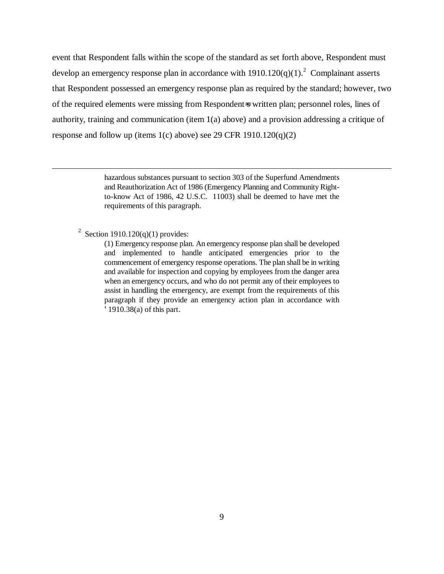event that Respondent falls within the scope of the standard as set forth above, Respondent must develop an emergency response plan in accordance with  $1910.120(q)(1)$ .<sup>2</sup> Complainant asserts that Respondent possessed an emergency response plan as required by the standard; however, two of the required elements were missing from Respondent-s written plan; personnel roles, lines of authority, training and communication (item 1(a) above) and a provision addressing a critique of response and follow up (items 1(c) above) see 29 CFR 1910.120(q)(2)

> hazardous substances pursuant to section 303 of the Superfund Amendments and Reauthorization Act of 1986 (Emergency Planning and Community Rightto-know Act of 1986, 42 U.S.C. 11003) shall be deemed to have met the requirements of this paragraph.

<sup>2</sup> Section 1910.120(q)(1) provides:

<u>.</u>

(1) Emergency response plan. An emergency response plan shall be developed and implemented to handle anticipated emergencies prior to the commencement of emergency response operations. The plan shall be in writing and available for inspection and copying by employees from the danger area when an emergency occurs, and who do not permit any of their employees to assist in handling the emergency, are exempt from the requirements of this paragraph if they provide an emergency action plan in accordance with '1910.38(a) of this part.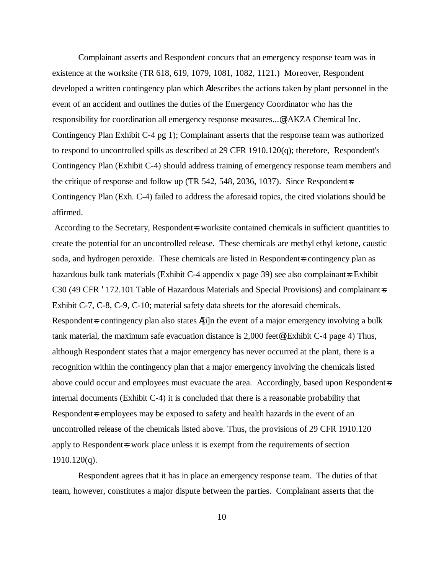Complainant asserts and Respondent concurs that an emergency response team was in existence at the worksite (TR 618, 619, 1079, 1081, 1082, 1121.) Moreover, Respondent developed a written contingency plan which Adescribes the actions taken by plant personnel in the event of an accident and outlines the duties of the Emergency Coordinator who has the responsibility for coordination all emergency response measures...@ (AKZA Chemical Inc. Contingency Plan Exhibit C-4 pg 1); Complainant asserts that the response team was authorized to respond to uncontrolled spills as described at 29 CFR 1910.120(q); therefore, Respondent's Contingency Plan (Exhibit C-4) should address training of emergency response team members and the critique of response and follow up (TR 542, 548, 2036, 1037). Since Respondent  $\equiv$ Contingency Plan (Exh. C-4) failed to address the aforesaid topics, the cited violations should be affirmed.

According to the Secretary, Respondent=s worksite contained chemicals in sufficient quantities to create the potential for an uncontrolled release. These chemicals are methyl ethyl ketone, caustic soda, and hydrogen peroxide. These chemicals are listed in Respondent-s contingency plan as hazardous bulk tank materials (Exhibit C-4 appendix x page 39) see also complainant=s Exhibit C30 (49 CFR '172.101 Table of Hazardous Materials and Special Provisions) and complainant=s Exhibit C-7, C-8, C-9, C-10; material safety data sheets for the aforesaid chemicals. Respondent=s contingency plan also states A[i]n the event of a major emergency involving a bulk tank material, the maximum safe evacuation distance is 2,000 feet@ (Exhibit C-4 page 4) Thus, although Respondent states that a major emergency has never occurred at the plant, there is a recognition within the contingency plan that a major emergency involving the chemicals listed above could occur and employees must evacuate the area. Accordingly, based upon Respondent=s internal documents (Exhibit C-4) it is concluded that there is a reasonable probability that Respondent=s employees may be exposed to safety and health hazards in the event of an uncontrolled release of the chemicals listed above. Thus, the provisions of 29 CFR 1910.120 apply to Respondent-s work place unless it is exempt from the requirements of section  $1910.120(q)$ .

Respondent agrees that it has in place an emergency response team. The duties of that team, however, constitutes a major dispute between the parties. Complainant asserts that the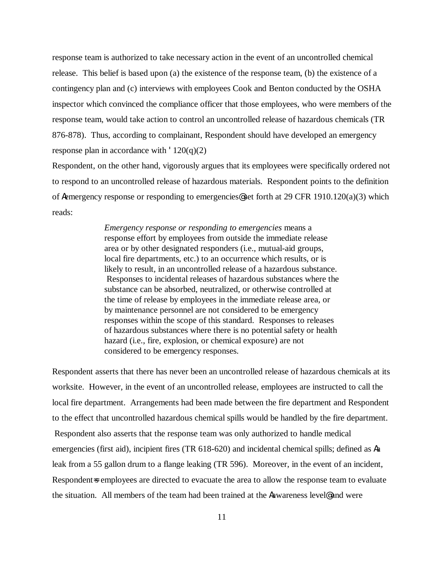response team is authorized to take necessary action in the event of an uncontrolled chemical release. This belief is based upon (a) the existence of the response team, (b) the existence of a contingency plan and (c) interviews with employees Cook and Benton conducted by the OSHA inspector which convinced the compliance officer that those employees, who were members of the response team, would take action to control an uncontrolled release of hazardous chemicals (TR 876-878). Thus, according to complainant, Respondent should have developed an emergency response plan in accordance with  $120(q)(2)$ 

Respondent, on the other hand, vigorously argues that its employees were specifically ordered not to respond to an uncontrolled release of hazardous materials. Respondent points to the definition of Aemergency response or responding to emergencies@ set forth at 29 CFR 1910.120(a)(3) which reads:

> *Emergency response or responding to emergencies* means a response effort by employees from outside the immediate release area or by other designated responders (i.e., mutual-aid groups, local fire departments, etc.) to an occurrence which results, or is likely to result, in an uncontrolled release of a hazardous substance. Responses to incidental releases of hazardous substances where the substance can be absorbed, neutralized, or otherwise controlled at the time of release by employees in the immediate release area, or by maintenance personnel are not considered to be emergency responses within the scope of this standard. Responses to releases of hazardous substances where there is no potential safety or health hazard (i.e., fire, explosion, or chemical exposure) are not considered to be emergency responses.

Respondent asserts that there has never been an uncontrolled release of hazardous chemicals at its worksite. However, in the event of an uncontrolled release, employees are instructed to call the local fire department. Arrangements had been made between the fire department and Respondent to the effect that uncontrolled hazardous chemical spills would be handled by the fire department. Respondent also asserts that the response team was only authorized to handle medical emergencies (first aid), incipient fires (TR 618-620) and incidental chemical spills; defined as Aa leak from a 55 gallon drum to a flange leaking (TR 596). Moreover, in the event of an incident, Respondent = employees are directed to evacuate the area to allow the response team to evaluate the situation. All members of the team had been trained at the Aawareness level@ and were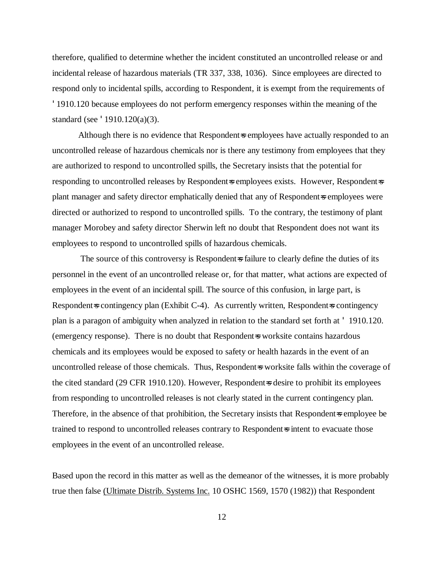therefore, qualified to determine whether the incident constituted an uncontrolled release or and incidental release of hazardous materials (TR 337, 338, 1036). Since employees are directed to respond only to incidental spills, according to Respondent, it is exempt from the requirements of '1910.120 because employees do not perform emergency responses within the meaning of the standard (see '1910.120(a)(3).

Although there is no evidence that Respondent=s employees have actually responded to an uncontrolled release of hazardous chemicals nor is there any testimony from employees that they are authorized to respond to uncontrolled spills, the Secretary insists that the potential for responding to uncontrolled releases by Respondent=s employees exists. However, Respondent=s plant manager and safety director emphatically denied that any of Respondent=s employees were directed or authorized to respond to uncontrolled spills. To the contrary, the testimony of plant manager Morobey and safety director Sherwin left no doubt that Respondent does not want its employees to respond to uncontrolled spills of hazardous chemicals.

The source of this controversy is Respondent is failure to clearly define the duties of its personnel in the event of an uncontrolled release or, for that matter, what actions are expected of employees in the event of an incidental spill. The source of this confusion, in large part, is Respondent=s contingency plan (Exhibit C-4). As currently written, Respondent=s contingency plan is a paragon of ambiguity when analyzed in relation to the standard set forth at ' 1910.120. (emergency response). There is no doubt that Respondent=s worksite contains hazardous chemicals and its employees would be exposed to safety or health hazards in the event of an uncontrolled release of those chemicals. Thus, Respondent=s worksite falls within the coverage of the cited standard (29 CFR 1910.120). However, Respondent=s desire to prohibit its employees from responding to uncontrolled releases is not clearly stated in the current contingency plan. Therefore, in the absence of that prohibition, the Secretary insists that Respondent=s employee be trained to respond to uncontrolled releases contrary to Respondent-s intent to evacuate those employees in the event of an uncontrolled release.

Based upon the record in this matter as well as the demeanor of the witnesses, it is more probably true then false (Ultimate Distrib. Systems Inc. 10 OSHC 1569, 1570 (1982)) that Respondent

12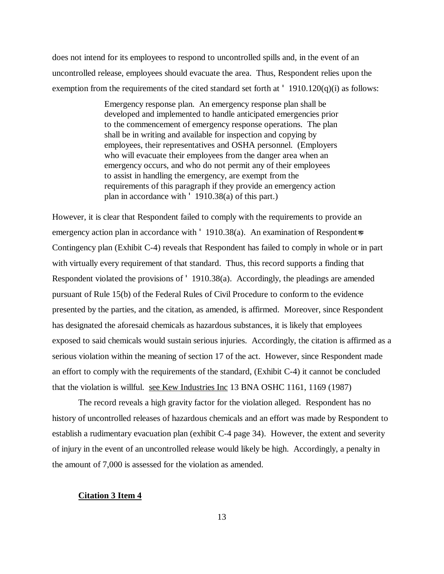does not intend for its employees to respond to uncontrolled spills and, in the event of an uncontrolled release, employees should evacuate the area. Thus, Respondent relies upon the exemption from the requirements of the cited standard set forth at  $\cdot$  1910.120(q)(i) as follows:

> Emergency response plan. An emergency response plan shall be developed and implemented to handle anticipated emergencies prior to the commencement of emergency response operations. The plan shall be in writing and available for inspection and copying by employees, their representatives and OSHA personnel. (Employers who will evacuate their employees from the danger area when an emergency occurs, and who do not permit any of their employees to assist in handling the emergency, are exempt from the requirements of this paragraph if they provide an emergency action plan in accordance with ' 1910.38(a) of this part.)

However, it is clear that Respondent failed to comply with the requirements to provide an emergency action plan in accordance with  $'$  1910.38(a). An examination of Respondent=s Contingency plan (Exhibit C-4) reveals that Respondent has failed to comply in whole or in part with virtually every requirement of that standard. Thus, this record supports a finding that Respondent violated the provisions of ' 1910.38(a). Accordingly, the pleadings are amended pursuant of Rule 15(b) of the Federal Rules of Civil Procedure to conform to the evidence presented by the parties, and the citation, as amended, is affirmed. Moreover, since Respondent has designated the aforesaid chemicals as hazardous substances, it is likely that employees exposed to said chemicals would sustain serious injuries. Accordingly, the citation is affirmed as a serious violation within the meaning of section 17 of the act. However, since Respondent made an effort to comply with the requirements of the standard, (Exhibit C-4) it cannot be concluded that the violation is willful. see Kew Industries Inc 13 BNA OSHC 1161, 1169 (1987)

The record reveals a high gravity factor for the violation alleged. Respondent has no history of uncontrolled releases of hazardous chemicals and an effort was made by Respondent to establish a rudimentary evacuation plan (exhibit C-4 page 34). However, the extent and severity of injury in the event of an uncontrolled release would likely be high. Accordingly, a penalty in the amount of 7,000 is assessed for the violation as amended.

### **Citation 3 Item 4**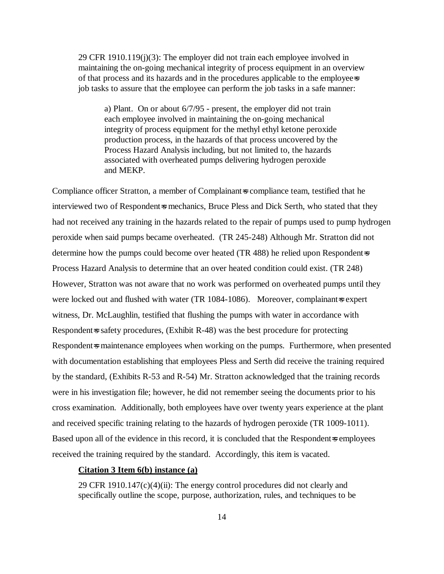29 CFR 1910.119(j)(3): The employer did not train each employee involved in maintaining the on-going mechanical integrity of process equipment in an overview of that process and its hazards and in the procedures applicable to the employee=s job tasks to assure that the employee can perform the job tasks in a safe manner:

a) Plant. On or about 6/7/95 - present, the employer did not train each employee involved in maintaining the on-going mechanical integrity of process equipment for the methyl ethyl ketone peroxide production process, in the hazards of that process uncovered by the Process Hazard Analysis including, but not limited to, the hazards associated with overheated pumps delivering hydrogen peroxide and MEKP.

Compliance officer Stratton, a member of Complainant=s compliance team, testified that he interviewed two of Respondent=s mechanics, Bruce Pless and Dick Serth, who stated that they had not received any training in the hazards related to the repair of pumps used to pump hydrogen peroxide when said pumps became overheated. (TR 245-248) Although Mr. Stratton did not determine how the pumps could become over heated (TR 488) he relied upon Respondent=s Process Hazard Analysis to determine that an over heated condition could exist. (TR 248) However, Stratton was not aware that no work was performed on overheated pumps until they were locked out and flushed with water (TR 1084-1086). Moreover, complainant=s expert witness, Dr. McLaughlin, testified that flushing the pumps with water in accordance with Respondent=s safety procedures, (Exhibit R-48) was the best procedure for protecting Respondent=s maintenance employees when working on the pumps. Furthermore, when presented with documentation establishing that employees Pless and Serth did receive the training required by the standard, (Exhibits R-53 and R-54) Mr. Stratton acknowledged that the training records were in his investigation file; however, he did not remember seeing the documents prior to his cross examination. Additionally, both employees have over twenty years experience at the plant and received specific training relating to the hazards of hydrogen peroxide (TR 1009-1011). Based upon all of the evidence in this record, it is concluded that the Respondent is employees received the training required by the standard. Accordingly, this item is vacated.

#### **Citation 3 Item 6(b) instance (a)**

29 CFR 1910.147(c)(4)(ii): The energy control procedures did not clearly and specifically outline the scope, purpose, authorization, rules, and techniques to be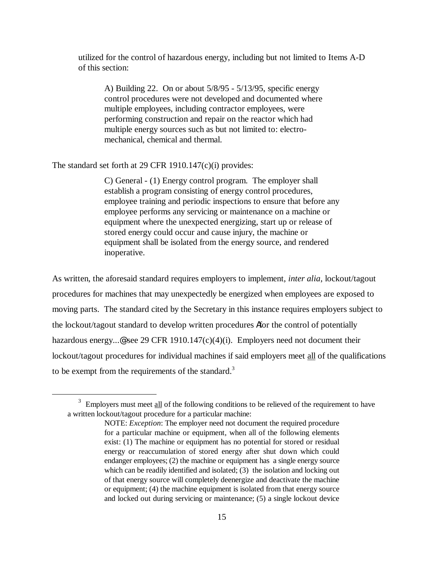utilized for the control of hazardous energy, including but not limited to Items A-D of this section:

A) Building 22. On or about 5/8/95 - 5/13/95, specific energy control procedures were not developed and documented where multiple employees, including contractor employees, were performing construction and repair on the reactor which had multiple energy sources such as but not limited to: electromechanical, chemical and thermal.

The standard set forth at 29 CFR 1910.147(c)(i) provides:

1

C) General - (1) Energy control program. The employer shall establish a program consisting of energy control procedures, employee training and periodic inspections to ensure that before any employee performs any servicing or maintenance on a machine or equipment where the unexpected energizing, start up or release of stored energy could occur and cause injury, the machine or equipment shall be isolated from the energy source, and rendered inoperative.

As written, the aforesaid standard requires employers to implement, *inter alia*, lockout/tagout procedures for machines that may unexpectedly be energized when employees are exposed to moving parts. The standard cited by the Secretary in this instance requires employers subject to the lockout/tagout standard to develop written procedures Afor the control of potentially hazardous energy...@ see 29 CFR 1910.147(c)(4)(i). Employers need not document their lockout/tagout procedures for individual machines if said employers meet all of the qualifications to be exempt from the requirements of the standard.<sup>3</sup>

 $3$  Employers must meet all of the following conditions to be relieved of the requirement to have a written lockout/tagout procedure for a particular machine:

NOTE: *Exception*: The employer need not document the required procedure for a particular machine or equipment, when all of the following elements exist: (1) The machine or equipment has no potential for stored or residual energy or reaccumulation of stored energy after shut down which could endanger employees; (2) the machine or equipment has a single energy source which can be readily identified and isolated; (3) the isolation and locking out of that energy source will completely deenergize and deactivate the machine or equipment; (4) the machine equipment is isolated from that energy source and locked out during servicing or maintenance; (5) a single lockout device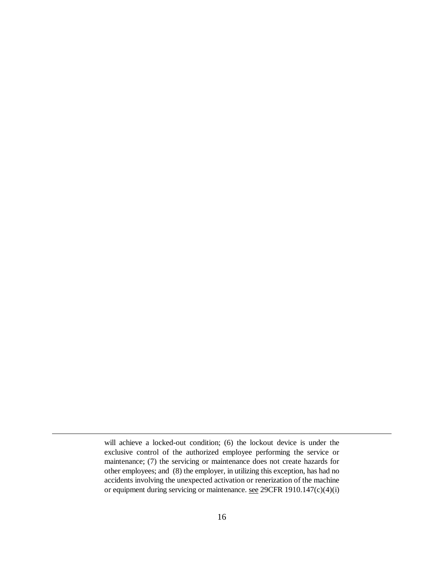will achieve a locked-out condition; (6) the lockout device is under the exclusive control of the authorized employee performing the service or maintenance; (7) the servicing or maintenance does not create hazards for other employees; and (8) the employer, in utilizing this exception, has had no accidents involving the unexpected activation or renerization of the machine or equipment during servicing or maintenance. see 29CFR 1910.147(c)(4)(i)

 $\overline{a}$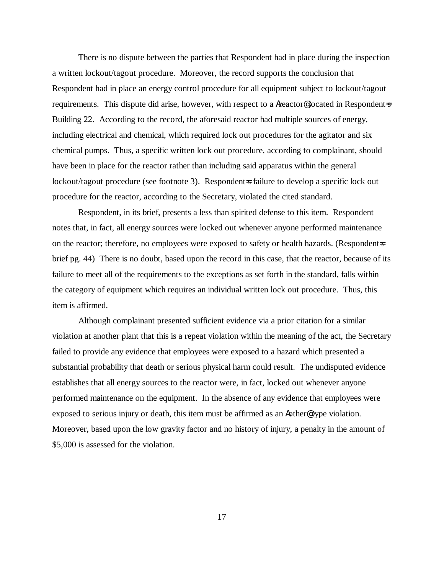There is no dispute between the parties that Respondent had in place during the inspection a written lockout/tagout procedure. Moreover, the record supports the conclusion that Respondent had in place an energy control procedure for all equipment subject to lockout/tagout requirements. This dispute did arise, however, with respect to a Areactor<sup>®</sup> located in Respondent=s Building 22. According to the record, the aforesaid reactor had multiple sources of energy, including electrical and chemical, which required lock out procedures for the agitator and six chemical pumps. Thus, a specific written lock out procedure, according to complainant, should have been in place for the reactor rather than including said apparatus within the general lockout/tagout procedure (see footnote 3). Respondent=s failure to develop a specific lock out procedure for the reactor, according to the Secretary, violated the cited standard.

Respondent, in its brief, presents a less than spirited defense to this item. Respondent notes that, in fact, all energy sources were locked out whenever anyone performed maintenance on the reactor; therefore, no employees were exposed to safety or health hazards. (Respondent=s brief pg. 44) There is no doubt, based upon the record in this case, that the reactor, because of its failure to meet all of the requirements to the exceptions as set forth in the standard, falls within the category of equipment which requires an individual written lock out procedure. Thus, this item is affirmed.

Although complainant presented sufficient evidence via a prior citation for a similar violation at another plant that this is a repeat violation within the meaning of the act, the Secretary failed to provide any evidence that employees were exposed to a hazard which presented a substantial probability that death or serious physical harm could result. The undisputed evidence establishes that all energy sources to the reactor were, in fact, locked out whenever anyone performed maintenance on the equipment. In the absence of any evidence that employees were exposed to serious injury or death, this item must be affirmed as an Aother@ type violation. Moreover, based upon the low gravity factor and no history of injury, a penalty in the amount of \$5,000 is assessed for the violation.

17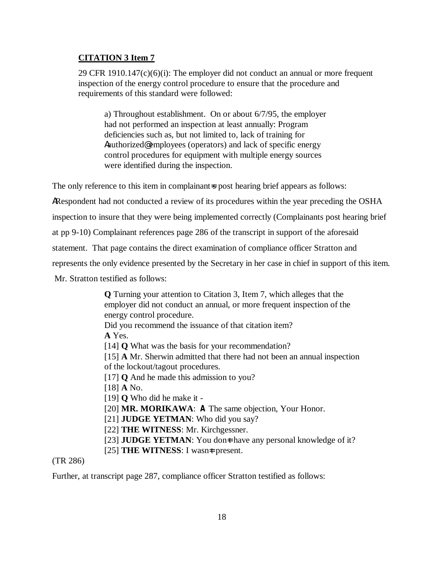## **CITATION 3 Item 7**

29 CFR  $1910.147(c)(6)(i)$ : The employer did not conduct an annual or more frequent inspection of the energy control procedure to ensure that the procedure and requirements of this standard were followed:

a) Throughout establishment. On or about 6/7/95, the employer had not performed an inspection at least annually: Program deficiencies such as, but not limited to, lack of training for Aauthorized@ employees (operators) and lack of specific energy control procedures for equipment with multiple energy sources were identified during the inspection.

The only reference to this item in complainant=s post hearing brief appears as follows:

ARespondent had not conducted a review of its procedures within the year preceding the OSHA

inspection to insure that they were being implemented correctly (Complainants post hearing brief

at pp 9-10) Complainant references page 286 of the transcript in support of the aforesaid

statement. That page contains the direct examination of compliance officer Stratton and

represents the only evidence presented by the Secretary in her case in chief in support of this item.

Mr. Stratton testified as follows:

**Q** Turning your attention to Citation 3, Item 7, which alleges that the employer did not conduct an annual, or more frequent inspection of the energy control procedure. Did you recommend the issuance of that citation item? **A** Yes. [14] **Q** What was the basis for your recommendation? [15] **A** Mr. Sherwin admitted that there had not been an annual inspection of the lockout/tagout procedures. [17] **Q** And he made this admission to you? [18] **A** No. [19] **Q** Who did he make it - [20] **MR. MORIKAWA**: **A** The same objection, Your Honor. [21] **JUDGE YETMAN**: Who did you say? [22] **THE WITNESS**: Mr. Kirchgessner. [23] **JUDGE YETMAN**: You dont have any personal knowledge of it? [25] **THE WITNESS**: I wasn=t present.

### (TR 286)

Further, at transcript page 287, compliance officer Stratton testified as follows: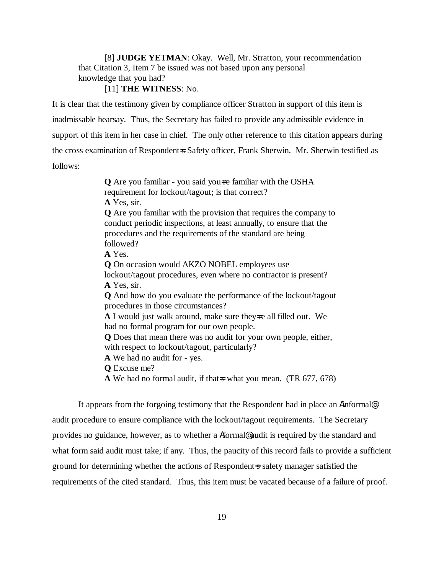[8] **JUDGE YETMAN**: Okay. Well, Mr. Stratton, your recommendation that Citation 3, Item 7 be issued was not based upon any personal knowledge that you had?

[11] **THE WITNESS**: No.

It is clear that the testimony given by compliance officer Stratton in support of this item is inadmissable hearsay. Thus, the Secretary has failed to provide any admissible evidence in support of this item in her case in chief. The only other reference to this citation appears during the cross examination of Respondent=s Safety officer, Frank Sherwin. Mr. Sherwin testified as follows:

> **Q** Are you familiar - you said you=re familiar with the OSHA requirement for lockout/tagout; is that correct? **A** Yes, sir. **Q** Are you familiar with the provision that requires the company to conduct periodic inspections, at least annually, to ensure that the procedures and the requirements of the standard are being followed? **A** Yes. **Q** On occasion would AKZO NOBEL employees use lockout/tagout procedures, even where no contractor is present? **A** Yes, sir. **Q** And how do you evaluate the performance of the lockout/tagout procedures in those circumstances? A I would just walk around, make sure they-re all filled out. We had no formal program for our own people. **Q** Does that mean there was no audit for your own people, either, with respect to lockout/tagout, particularly? **A** We had no audit for - yes. **Q** Excuse me? A We had no formal audit, if that is what you mean. (TR 677, 678)

It appears from the forgoing testimony that the Respondent had in place an Ainformal@ audit procedure to ensure compliance with the lockout/tagout requirements. The Secretary provides no guidance, however, as to whether a Aformal@ audit is required by the standard and what form said audit must take; if any. Thus, the paucity of this record fails to provide a sufficient ground for determining whether the actions of Respondent=s safety manager satisfied the requirements of the cited standard. Thus, this item must be vacated because of a failure of proof.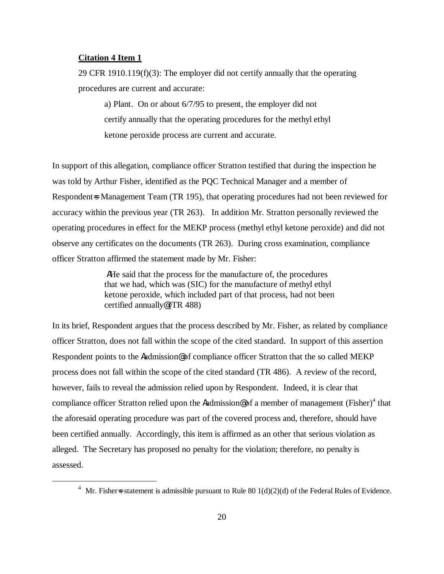#### **Citation 4 Item 1**

 $\overline{a}$ 

29 CFR 1910.119 $(f)(3)$ : The employer did not certify annually that the operating procedures are current and accurate:

a) Plant. On or about 6/7/95 to present, the employer did not certify annually that the operating procedures for the methyl ethyl ketone peroxide process are current and accurate.

In support of this allegation, compliance officer Stratton testified that during the inspection he was told by Arthur Fisher, identified as the PQC Technical Manager and a member of Respondent=s Management Team (TR 195), that operating procedures had not been reviewed for accuracy within the previous year (TR 263). In addition Mr. Stratton personally reviewed the operating procedures in effect for the MEKP process (methyl ethyl ketone peroxide) and did not observe any certificates on the documents (TR 263). During cross examination, compliance officer Stratton affirmed the statement made by Mr. Fisher:

> AHe said that the process for the manufacture of, the procedures that we had, which was (SIC) for the manufacture of methyl ethyl ketone peroxide, which included part of that process, had not been certified annually@ (TR 488)

In its brief, Respondent argues that the process described by Mr. Fisher, as related by compliance officer Stratton, does not fall within the scope of the cited standard. In support of this assertion Respondent points to the Aadmission@ of compliance officer Stratton that the so called MEKP process does not fall within the scope of the cited standard (TR 486). A review of the record, however, fails to reveal the admission relied upon by Respondent. Indeed, it is clear that compliance officer Stratton relied upon the Aadmission@ of a member of management (Fisher)<sup>4</sup> that the aforesaid operating procedure was part of the covered process and, therefore, should have been certified annually. Accordingly, this item is affirmed as an other that serious violation as alleged. The Secretary has proposed no penalty for the violation; therefore, no penalty is assessed.

<sup>&</sup>lt;sup>4</sup> Mr. Fisher is statement is admissible pursuant to Rule 80 1(d)(2)(d) of the Federal Rules of Evidence.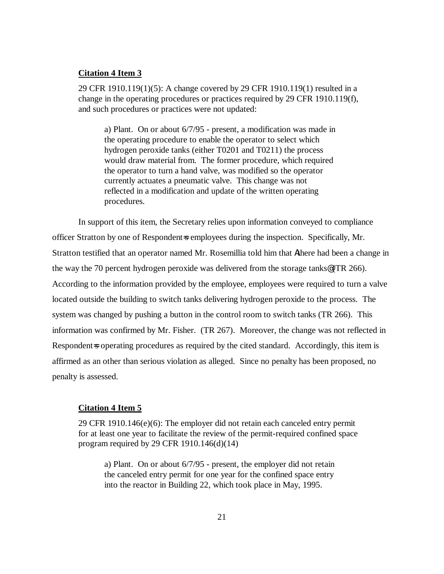### **Citation 4 Item 3**

29 CFR 1910.119(1)(5): A change covered by 29 CFR 1910.119(1) resulted in a change in the operating procedures or practices required by 29 CFR 1910.119(f), and such procedures or practices were not updated:

a) Plant. On or about 6/7/95 - present, a modification was made in the operating procedure to enable the operator to select which hydrogen peroxide tanks (either T0201 and T0211) the process would draw material from. The former procedure, which required the operator to turn a hand valve, was modified so the operator currently actuates a pneumatic valve. This change was not reflected in a modification and update of the written operating procedures.

In support of this item, the Secretary relies upon information conveyed to compliance officer Stratton by one of Respondent=s employees during the inspection. Specifically, Mr. Stratton testified that an operator named Mr. Rosemillia told him that Athere had been a change in the way the 70 percent hydrogen peroxide was delivered from the storage tanks@ (TR 266). According to the information provided by the employee, employees were required to turn a valve located outside the building to switch tanks delivering hydrogen peroxide to the process. The system was changed by pushing a button in the control room to switch tanks (TR 266). This information was confirmed by Mr. Fisher. (TR 267). Moreover, the change was not reflected in Respondent=s operating procedures as required by the cited standard. Accordingly, this item is affirmed as an other than serious violation as alleged. Since no penalty has been proposed, no penalty is assessed.

#### **Citation 4 Item 5**

29 CFR 1910.146(e)(6): The employer did not retain each canceled entry permit for at least one year to facilitate the review of the permit-required confined space program required by 29 CFR 1910.146(d)(14)

a) Plant. On or about 6/7/95 - present, the employer did not retain the canceled entry permit for one year for the confined space entry into the reactor in Building 22, which took place in May, 1995.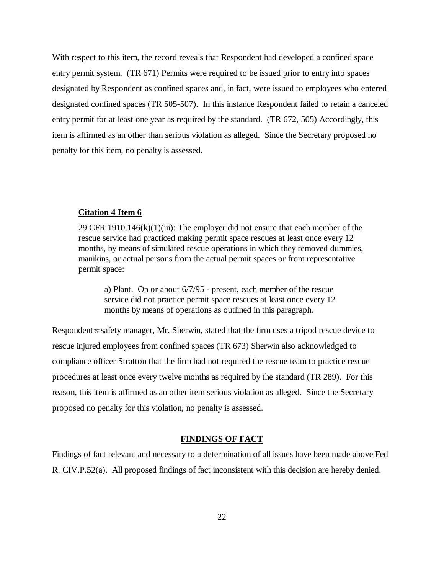With respect to this item, the record reveals that Respondent had developed a confined space entry permit system. (TR 671) Permits were required to be issued prior to entry into spaces designated by Respondent as confined spaces and, in fact, were issued to employees who entered designated confined spaces (TR 505-507). In this instance Respondent failed to retain a canceled entry permit for at least one year as required by the standard. (TR 672, 505) Accordingly, this item is affirmed as an other than serious violation as alleged. Since the Secretary proposed no penalty for this item, no penalty is assessed.

#### **Citation 4 Item 6**

29 CFR 1910.146 $(k)(1)(iii)$ : The employer did not ensure that each member of the rescue service had practiced making permit space rescues at least once every 12 months, by means of simulated rescue operations in which they removed dummies, manikins, or actual persons from the actual permit spaces or from representative permit space:

a) Plant. On or about 6/7/95 - present, each member of the rescue service did not practice permit space rescues at least once every 12 months by means of operations as outlined in this paragraph.

Respondent=s safety manager, Mr. Sherwin, stated that the firm uses a tripod rescue device to rescue injured employees from confined spaces (TR 673) Sherwin also acknowledged to compliance officer Stratton that the firm had not required the rescue team to practice rescue procedures at least once every twelve months as required by the standard (TR 289). For this reason, this item is affirmed as an other item serious violation as alleged. Since the Secretary proposed no penalty for this violation, no penalty is assessed.

#### **FINDINGS OF FACT**

Findings of fact relevant and necessary to a determination of all issues have been made above Fed R. CIV.P.52(a). All proposed findings of fact inconsistent with this decision are hereby denied.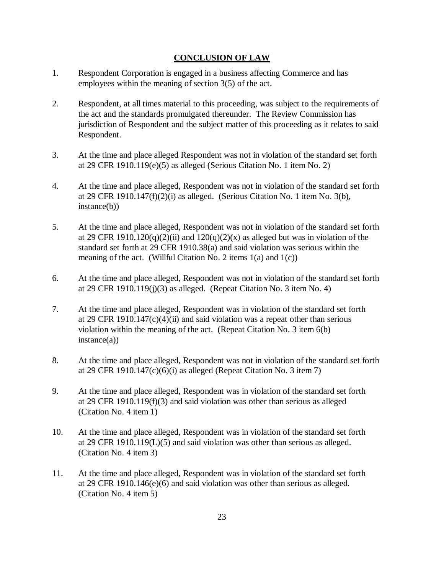## **CONCLUSION OF LAW**

- 1. Respondent Corporation is engaged in a business affecting Commerce and has employees within the meaning of section 3(5) of the act.
- 2. Respondent, at all times material to this proceeding, was subject to the requirements of the act and the standards promulgated thereunder. The Review Commission has jurisdiction of Respondent and the subject matter of this proceeding as it relates to said Respondent.
- 3. At the time and place alleged Respondent was not in violation of the standard set forth at 29 CFR 1910.119(e)(5) as alleged (Serious Citation No. 1 item No. 2)
- 4. At the time and place alleged, Respondent was not in violation of the standard set forth at 29 CFR 1910.147 $(f)(2)(i)$  as alleged. (Serious Citation No. 1 item No. 3(b), instance(b))
- 5. At the time and place alleged, Respondent was not in violation of the standard set forth at 29 CFR 1910.120(q)(2)(ii) and  $120(q)(2)(x)$  as alleged but was in violation of the standard set forth at 29 CFR 1910.38(a) and said violation was serious within the meaning of the act. (Willful Citation No. 2 items  $1(a)$  and  $1(c)$ )
- 6. At the time and place alleged, Respondent was not in violation of the standard set forth at 29 CFR 1910.119 $(j)(3)$  as alleged. (Repeat Citation No. 3 item No. 4)
- 7. At the time and place alleged, Respondent was in violation of the standard set forth at 29 CFR 1910.147 $(c)(4)(ii)$  and said violation was a repeat other than serious violation within the meaning of the act. (Repeat Citation No. 3 item 6(b)  $instance(a)$
- 8. At the time and place alleged, Respondent was not in violation of the standard set forth at 29 CFR 1910.147 $(c)(6)(i)$  as alleged (Repeat Citation No. 3 item 7)
- 9. At the time and place alleged, Respondent was in violation of the standard set forth at 29 CFR 1910.119(f)(3) and said violation was other than serious as alleged (Citation No. 4 item 1)
- 10. At the time and place alleged, Respondent was in violation of the standard set forth at 29 CFR 1910.119(L)(5) and said violation was other than serious as alleged. (Citation No. 4 item 3)
- 11. At the time and place alleged, Respondent was in violation of the standard set forth at 29 CFR 1910.146(e)(6) and said violation was other than serious as alleged. (Citation No. 4 item 5)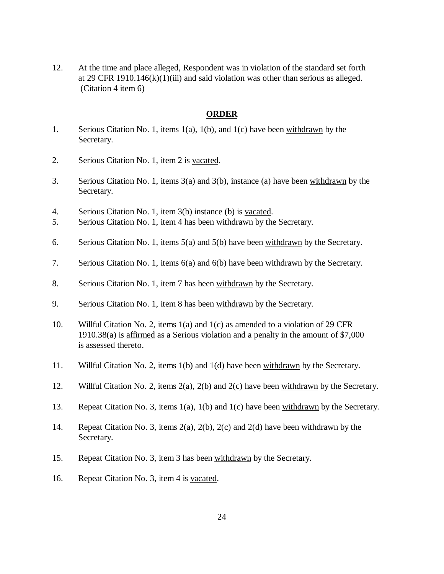12. At the time and place alleged, Respondent was in violation of the standard set forth at 29 CFR 1910.146 $(k)(1)(iii)$  and said violation was other than serious as alleged. (Citation 4 item 6)

#### **ORDER**

- 1. Serious Citation No. 1, items 1(a), 1(b), and 1(c) have been withdrawn by the Secretary.
- 2. Serious Citation No. 1, item 2 is vacated.
- 3. Serious Citation No. 1, items 3(a) and 3(b), instance (a) have been withdrawn by the Secretary.
- 4. Serious Citation No. 1, item 3(b) instance (b) is vacated.
- 5. Serious Citation No. 1, item 4 has been withdrawn by the Secretary.
- 6. Serious Citation No. 1, items 5(a) and 5(b) have been withdrawn by the Secretary.
- 7. Serious Citation No. 1, items 6(a) and 6(b) have been withdrawn by the Secretary.
- 8. Serious Citation No. 1, item 7 has been withdrawn by the Secretary.
- 9. Serious Citation No. 1, item 8 has been withdrawn by the Secretary.
- 10. Willful Citation No. 2, items 1(a) and 1(c) as amended to a violation of 29 CFR 1910.38(a) is affirmed as a Serious violation and a penalty in the amount of \$7,000 is assessed thereto.
- 11. Willful Citation No. 2, items 1(b) and 1(d) have been withdrawn by the Secretary.
- 12. Willful Citation No. 2, items 2(a), 2(b) and 2(c) have been withdrawn by the Secretary.
- 13. Repeat Citation No. 3, items 1(a), 1(b) and 1(c) have been withdrawn by the Secretary.
- 14. Repeat Citation No. 3, items 2(a), 2(b), 2(c) and 2(d) have been withdrawn by the Secretary.
- 15. Repeat Citation No. 3, item 3 has been withdrawn by the Secretary.
- 16. Repeat Citation No. 3, item 4 is vacated.